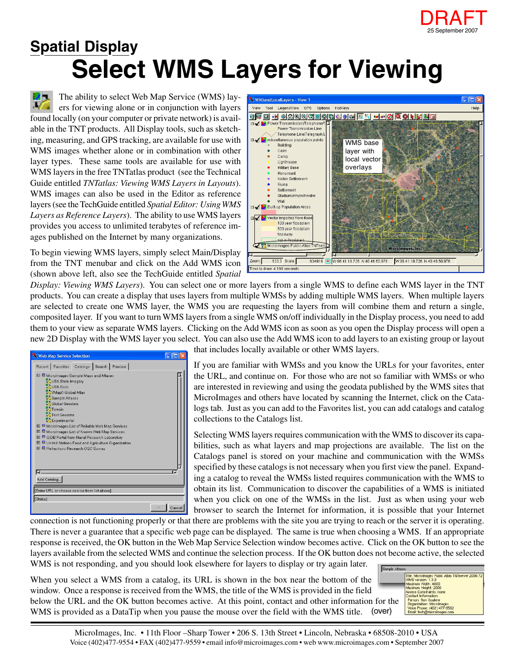

## **Select WMS Layers for Viewing Spatial Display**

The ability to select Web Map Service (WMS) lay-**EVA** ers for viewing alone or in conjunction with layers found locally (on your computer or private network) is available in the TNT products. All Display tools, such as sketching, measuring, and GPS tracking, are available for use with WMS images whether alone or in combination with other layer types. These same tools are available for use with WMS layers in the free TNTatlas product (see the Technical Guide entitled *TNTatlas: Viewing WMS Layers in Layouts*). WMS images can also be used in the Editor as reference layers (see the TechGuide entitled *Spatial Editor: Using WMS Layers as Reference Layers*). The ability to use WMS layers provides you access to unlimited terabytes of reference images published on the Internet by many organizations.

To begin viewing WMS layers, simply select Main/Display from the TNT menubar and click on the Add WMS icon (shown above left, also see the TechGuide entitled *Spatial*



*Display: Viewing WMS Layers*). You can select one or more layers from a single WMS to define each WMS layer in the TNT products. You can create a display that uses layers from multiple WMSs by adding multiple WMS layers. When multiple layers are selected to create one WMS layer, the WMS you are requesting the layers from will combine them and return a single, composited layer. If you want to turn WMS layers from a single WMS on/off individually in the Display process, you need to add them to your view as separate WMS layers. Clicking on the Add WMS icon as soon as you open the Display process will open a new 2D Display with the WMS layer you select. You can also use the Add WMS icon to add layers to an existing group or layout

|                                                   | Web Map Service Selection                                                                                                                                                                                                                                                                                                                                                                                                             |  |  |           |        |
|---------------------------------------------------|---------------------------------------------------------------------------------------------------------------------------------------------------------------------------------------------------------------------------------------------------------------------------------------------------------------------------------------------------------------------------------------------------------------------------------------|--|--|-----------|--------|
|                                                   | Recent Favorites Catalogs Search Preview                                                                                                                                                                                                                                                                                                                                                                                              |  |  |           |        |
| 国<br>田<br>$\mathbf{F}$<br>田<br>ы.<br>Add Catalog. | □ Microlmages Sample Maps and Atlases<br>USA State Imagery<br>USA Soils<br>WMap0 Global Atlas<br>Sample Atlases<br>Global Geodata<br>Terrain<br>Test Geodata<br>Experimental<br>田 国 MicroImages List of Reliable Web Map Services<br>Microlmages List of Known Web Map Services<br><sup>ED</sup> GIDB Portal from Naval Research Laboratory<br>United Nations Food and Agriculture Organization<br>El Refractions Research OGC Survey |  |  |           |        |
|                                                   | [Enter URL or choose service from list above]                                                                                                                                                                                                                                                                                                                                                                                         |  |  |           |        |
| [Status]                                          |                                                                                                                                                                                                                                                                                                                                                                                                                                       |  |  |           |        |
|                                                   |                                                                                                                                                                                                                                                                                                                                                                                                                                       |  |  | <b>OK</b> | Cancel |

that includes locally available or other WMS layers.

If you are familiar with WMSs and you know the URLs for your favorites, enter the URL, and continue on. For those who are not so familiar with WMSs or who are interested in reviewing and using the geodata published by the WMS sites that MicroImages and others have located by scanning the Internet, click on the Catalogs tab. Just as you can add to the Favorites list, you can add catalogs and catalog collections to the Catalogs list.

Selecting WMS layers requires communication with the WMS to discover its capabilities, such as what layers and map projections are available. The list on the Catalogs panel is stored on your machine and communication with the WMSs specified by these catalogs is not necessary when you first view the panel. Expanding a catalog to reveal the WMSs listed requires communication with the WMS to obtain its list. Communication to discover the capabilities of a WMS is initiated when you click on one of the WMSs in the list. Just as when using your web browser to search the Internet for information, it is possible that your Internet

connection is not functioning properly or that there are problems with the site you are trying to reach or the server it is operating. There is never a guarantee that a specific web page can be displayed. The same is true when choosing a WMS. If an appropriate response is received, the OK button in the Web Map Service Selection window becomes active. Click on the OK button to see the layers available from the selected WMS and continue the selection process. If the OK button does not become active, the selected WMS is not responding, and you should look elsewhere for layers to display or try again later.

When you select a WMS from a catalog, its URL is shown in the box near the bottom of the window. Once a response is received from the WMS, the title of the WMS is provided in the field below the URL and the OK button becomes active. At this point, contact and other information for the WMS is provided as a DataTip when you pause the mouse over the field with the WMS title. (over)